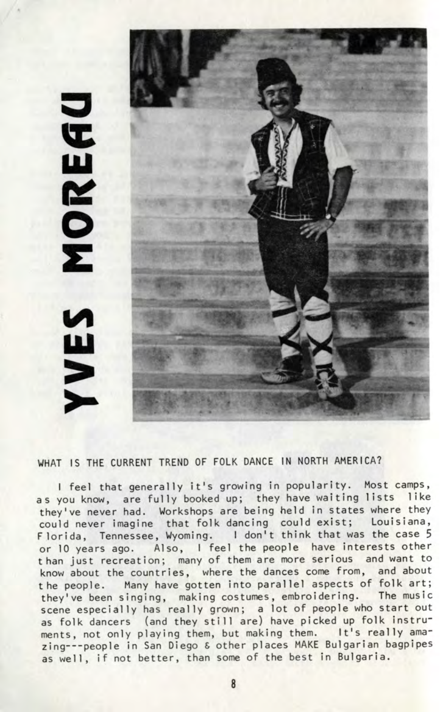## <u>p</u> £ **ui**



WHAT IS THE CURRENT TREND OF FOLK DANCE IN NORTH AMERICA?

I feel that generally it's growing in popularity. Most camps, as you know, are fully booked up; they have waiting lists like they've never had. Workshops are being held in states where they could never imagine that folk dancing could exist; Louisiana, Florida, Tennessee, Wyoming. I don't think that was the case 5 or 10 years ago. Also, I feel the people have interests other than just recreation; many of them are more serious and want to know about the countries, where the dances come from, and about the people. Many have gotten into parallel aspects of folk art; they've been singing, making costumes, embroidering. The music scene especially has really grown; a lot of people who start out as folk dancers (and they still are) have picked up folk instruments, not only playing them, but making them. It's really amazing---people in San Diego & other places MAKE Bulgarian bagpipes as well, if not better, than some of the best in Bulgaria.